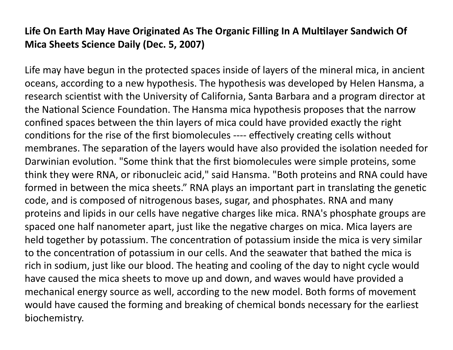## Life On Earth May Have Originated As The Organic Filling In A Multilayer Sandwich Of **Mica Sheets Science Daily (Dec. 5, 2007)**

Life may have begun in the protected spaces inside of layers of the mineral mica, in ancient oceans, according to a new hypothesis. The hypothesis was developed by Helen Hansma, a research scientist with the University of California, Santa Barbara and a program director at the National Science Foundation. The Hansma mica hypothesis proposes that the narrow confined spaces between the thin layers of mica could have provided exactly the right conditions for the rise of the first biomolecules ---- effectively creating cells without membranes. The separation of the layers would have also provided the isolation needed for Darwinian evolution. "Some think that the first biomolecules were simple proteins, some think they were RNA, or ribonucleic acid," said Hansma. "Both proteins and RNA could have formed in between the mica sheets." RNA plays an important part in translating the genetic code, and is composed of nitrogenous bases, sugar, and phosphates. RNA and many proteins and lipids in our cells have negative charges like mica. RNA's phosphate groups are spaced one half nanometer apart, just like the negative charges on mica. Mica layers are held together by potassium. The concentration of potassium inside the mica is very similar to the concentration of potassium in our cells. And the seawater that bathed the mica is rich in sodium, just like our blood. The heating and cooling of the day to night cycle would have caused the mica sheets to move up and down, and waves would have provided a mechanical energy source as well, according to the new model. Both forms of movement would have caused the forming and breaking of chemical bonds necessary for the earliest biochemistry.